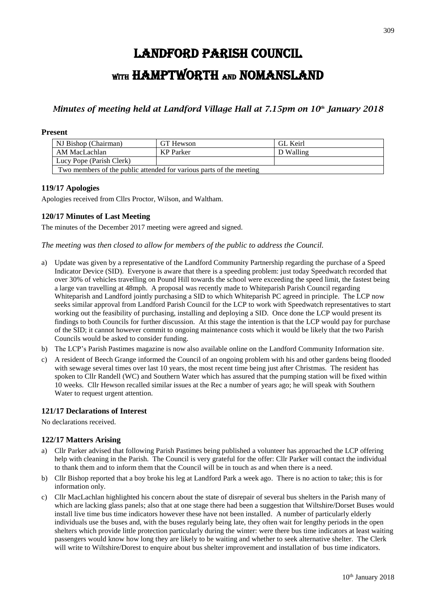# LANDFORD PARISH COUNCIL WITH HAMPTWORTH AND NOMANSLAND

# *Minutes of meeting held at Landford Village Hall at 7.15pm on 10 th January 2018*

# **Present**

| NJ Bishop (Chairman)                                                | GT Hewson | GL Keirl  |
|---------------------------------------------------------------------|-----------|-----------|
| AM MacLachlan                                                       | KP Parker | D Walling |
| Lucy Pope (Parish Clerk)                                            |           |           |
| Two members of the public attended for various parts of the meeting |           |           |

### **119/17 Apologies**

Apologies received from Cllrs Proctor, Wilson, and Waltham.

# **120/17 Minutes of Last Meeting**

The minutes of the December 2017 meeting were agreed and signed.

*The meeting was then closed to allow for members of the public to address the Council.*

- a) Update was given by a representative of the Landford Community Partnership regarding the purchase of a Speed Indicator Device (SID). Everyone is aware that there is a speeding problem: just today Speedwatch recorded that over 30% of vehicles travelling on Pound Hill towards the school were exceeding the speed limit, the fastest being a large van travelling at 48mph. A proposal was recently made to Whiteparish Parish Council regarding Whiteparish and Landford jointly purchasing a SID to which Whiteparish PC agreed in principle. The LCP now seeks similar approval from Landford Parish Council for the LCP to work with Speedwatch representatives to start working out the feasibility of purchasing, installing and deploying a SID. Once done the LCP would present its findings to both Councils for further discussion. At this stage the intention is that the LCP would pay for purchase of the SID; it cannot however commit to ongoing maintenance costs which it would be likely that the two Parish Councils would be asked to consider funding.
- b) The LCP's Parish Pastimes magazine is now also available online on the Landford Community Information site.
- c) A resident of Beech Grange informed the Council of an ongoing problem with his and other gardens being flooded with sewage several times over last 10 years, the most recent time being just after Christmas. The resident has spoken to Cllr Randell (WC) and Southern Water which has assured that the pumping station will be fixed within 10 weeks. Cllr Hewson recalled similar issues at the Rec a number of years ago; he will speak with Southern Water to request urgent attention.

### **121/17 Declarations of Interest**

No declarations received.

### **122/17 Matters Arising**

- a) Cllr Parker advised that following Parish Pastimes being published a volunteer has approached the LCP offering help with cleaning in the Parish. The Council is very grateful for the offer: Cllr Parker will contact the individual to thank them and to inform them that the Council will be in touch as and when there is a need.
- b) Cllr Bishop reported that a boy broke his leg at Landford Park a week ago. There is no action to take; this is for information only.
- c) Cllr MacLachlan highlighted his concern about the state of disrepair of several bus shelters in the Parish many of which are lacking glass panels; also that at one stage there had been a suggestion that Wiltshire/Dorset Buses would install live time bus time indicators however these have not been installed. A number of particularly elderly individuals use the buses and, with the buses regularly being late, they often wait for lengthy periods in the open shelters which provide little protection particularly during the winter: were there bus time indicators at least waiting passengers would know how long they are likely to be waiting and whether to seek alternative shelter. The Clerk will write to Wiltshire/Dorest to enquire about bus shelter improvement and installation of bus time indicators.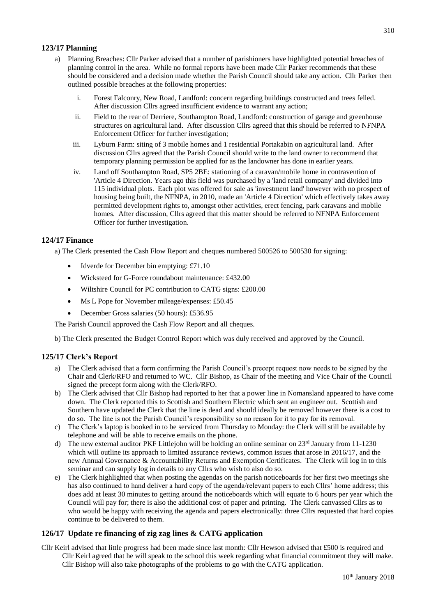## **123/17 Planning**

- a) Planning Breaches: Cllr Parker advised that a number of parishioners have highlighted potential breaches of planning control in the area. While no formal reports have been made Cllr Parker recommends that these should be considered and a decision made whether the Parish Council should take any action. Cllr Parker then outlined possible breaches at the following properties:
	- i. Forest Falconry, New Road, Landford: concern regarding buildings constructed and trees felled. After discussion Cllrs agreed insufficient evidence to warrant any action;
	- ii. Field to the rear of Derriere, Southampton Road, Landford: construction of garage and greenhouse structures on agricultural land. After discussion Cllrs agreed that this should be referred to NFNPA Enforcement Officer for further investigation;
	- iii. Lyburn Farm: siting of 3 mobile homes and 1 residential Portakabin on agricultural land. After discussion Cllrs agreed that the Parish Council should write to the land owner to recommend that temporary planning permission be applied for as the landowner has done in earlier years.
	- iv. Land off Southampton Road, SP5 2BE: stationing of a caravan/mobile home in contravention of 'Article 4 Direction. Years ago this field was purchased by a 'land retail company' and divided into 115 individual plots. Each plot was offered for sale as 'investment land' however with no prospect of housing being built, the NFNPA, in 2010, made an 'Article 4 Direction' which effectively takes away permitted development rights to, amongst other activities, erect fencing, park caravans and mobile homes. After discussion, Cllrs agreed that this matter should be referred to NFNPA Enforcement Officer for further investigation.

# **124/17 Finance**

a) The Clerk presented the Cash Flow Report and cheques numbered 500526 to 500530 for signing:

- Idverde for December bin emptying: £71.10
- Wicksteed for G-Force roundabout maintenance: £432.00
- Wiltshire Council for PC contribution to CATG signs: £200.00
- Ms L Pope for November mileage/expenses: £50.45
- December Gross salaries (50 hours): £536.95

The Parish Council approved the Cash Flow Report and all cheques.

b) The Clerk presented the Budget Control Report which was duly received and approved by the Council.

### **125/17 Clerk's Report**

- a) The Clerk advised that a form confirming the Parish Council's precept request now needs to be signed by the Chair and Clerk/RFO and returned to WC. Cllr Bishop, as Chair of the meeting and Vice Chair of the Council signed the precept form along with the Clerk/RFO.
- b) The Clerk advised that Cllr Bishop had reported to her that a power line in Nomansland appeared to have come down. The Clerk reported this to Scottish and Southern Electric which sent an engineer out. Scottish and Southern have updated the Clerk that the line is dead and should ideally be removed however there is a cost to do so. The line is not the Parish Council's responsibility so no reason for it to pay for its removal.
- c) The Clerk's laptop is booked in to be serviced from Thursday to Monday: the Clerk will still be available by telephone and will be able to receive emails on the phone.
- d) The new external auditor PKF Littlejohn will be holding an online seminar on  $23<sup>rd</sup>$  January from 11-1230 which will outline its approach to limited assurance reviews, common issues that arose in 2016/17, and the new Annual Governance & Accountability Returns and Exemption Certificates. The Clerk will log in to this seminar and can supply log in details to any Cllrs who wish to also do so.
- e) The Clerk highlighted that when posting the agendas on the parish noticeboards for her first two meetings she has also continued to hand deliver a hard copy of the agenda/relevant papers to each Cllrs' home address; this does add at least 30 minutes to getting around the noticeboards which will equate to 6 hours per year which the Council will pay for; there is also the additional cost of paper and printing. The Clerk canvassed Cllrs as to who would be happy with receiving the agenda and papers electronically: three Cllrs requested that hard copies continue to be delivered to them.

# **126/17 Update re financing of zig zag lines & CATG application**

Cllr Keirl advised that little progress had been made since last month: Cllr Hewson advised that £500 is required and Cllr Keirl agreed that he will speak to the school this week regarding what financial commitment they will make. Cllr Bishop will also take photographs of the problems to go with the CATG application.